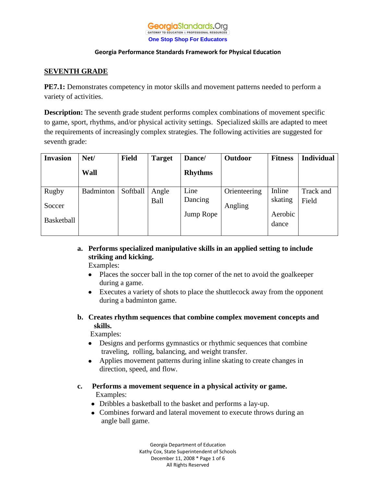#### **Georgia**Standards.Org GATEWAY TO EDUCATION & PROFESSIONAL RESOURCE **One Stop Shop For Educators**

## **Georgia Performance Standards Framework for Physical Education**

# **SEVENTH GRADE**

**PE7.1:** Demonstrates competency in motor skills and movement patterns needed to perform a variety of activities.

**Description:** The seventh grade student performs complex combinations of movement specific to game, sport, rhythms, and/or physical activity settings. Specialized skills are adapted to meet the requirements of increasingly complex strategies. The following activities are suggested for seventh grade:

| <b>Invasion</b> | Net/      | <b>Field</b> | <b>Target</b> | Dance/         | Outdoor      | <b>Fitness</b> | <b>Individual</b> |
|-----------------|-----------|--------------|---------------|----------------|--------------|----------------|-------------------|
|                 | Wall      |              |               | <b>Rhythms</b> |              |                |                   |
| <b>Rugby</b>    | Badminton | Softball     | Angle         | Line           | Orienteering | Inline         | Track and         |
| Soccer          |           |              | Ball          | Dancing        | Angling      | skating        | Field             |
|                 |           |              |               | Jump Rope      |              | Aerobic        |                   |
| Basketball      |           |              |               |                |              | dance          |                   |

# **a. Performs specialized manipulative skills in an applied setting to include striking and kicking.**

Examples:

- Places the soccer ball in the top corner of the net to avoid the goalkeeper  $\bullet$ during a game.
- Executes a variety of shots to place the shuttlecock away from the opponent  $\bullet$ during a badminton game.
- **b. Creates rhythm sequences that combine complex movement concepts and skills.**

Examples:

- $\bullet$ Designs and performs gymnastics or rhythmic sequences that combine traveling, rolling, balancing, and weight transfer.
- Applies movement patterns during inline skating to create changes in direction, speed, and flow.
- **c. Performs a movement sequence in a physical activity or game.** Examples:
	- Dribbles a basketball to the basket and performs a lay-up.
	- Combines forward and lateral movement to execute throws during an angle ball game.

Georgia Department of Education Kathy Cox, State Superintendent of Schools December 11, 2008 \* Page 1 of 6 All Rights Reserved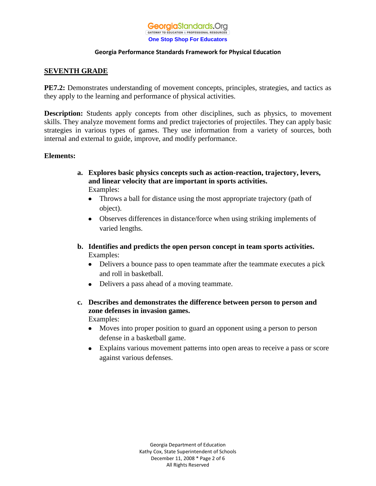

# **SEVENTH GRADE**

**PE7.2:** Demonstrates understanding of movement concepts, principles, strategies, and tactics as they apply to the learning and performance of physical activities.

**Description:** Students apply concepts from other disciplines, such as physics, to movement skills. They analyze movement forms and predict trajectories of projectiles. They can apply basic strategies in various types of games. They use information from a variety of sources, both internal and external to guide, improve, and modify performance.

## **Elements:**

- **a. Explores basic physics concepts such as action-reaction, trajectory, levers, and linear velocity that are important in sports activities.** Examples:
	- Throws a ball for distance using the most appropriate trajectory (path of object).
	- Observes differences in distance/force when using striking implements of varied lengths.
- **b. Identifies and predicts the open person concept in team sports activities.** Examples:
	- Delivers a bounce pass to open teammate after the teammate executes a pick and roll in basketball.
	- Delivers a pass ahead of a moving teammate.
- **c. Describes and demonstrates the difference between person to person and zone defenses in invasion games.** Examples:
	- Moves into proper position to guard an opponent using a person to person  $\bullet$ defense in a basketball game.
	- Explains various movement patterns into open areas to receive a pass or score  $\bullet$ against various defenses.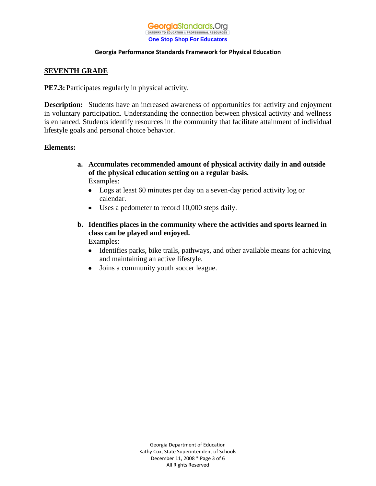

# **SEVENTH GRADE**

**PE7.3:** Participates regularly in physical activity.

**Description:** Students have an increased awareness of opportunities for activity and enjoyment in voluntary participation. Understanding the connection between physical activity and wellness is enhanced. Students identify resources in the community that facilitate attainment of individual lifestyle goals and personal choice behavior.

## **Elements:**

- **a. Accumulates recommended amount of physical activity daily in and outside of the physical education setting on a regular basis.** Examples:
	- Logs at least 60 minutes per day on a seven-day period activity log or calendar.
	- Uses a pedometer to record 10,000 steps daily.
- **b. Identifies places in the community where the activities and sports learned in class can be played and enjoyed.** Examples:
	- Identifies parks, bike trails, pathways, and other available means for achieving  $\bullet$ and maintaining an active lifestyle.
	- $\bullet$ Joins a community youth soccer league.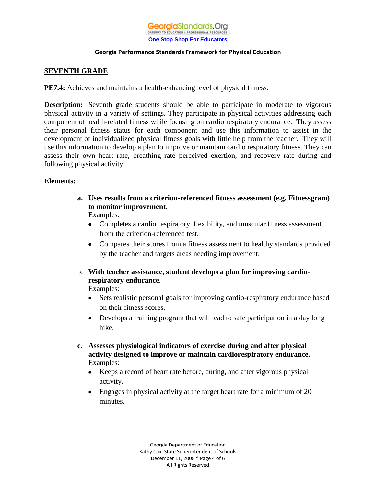

# **SEVENTH GRADE**

**PE7.4:** Achieves and maintains a health-enhancing level of physical fitness.

**Description:** Seventh grade students should be able to participate in moderate to vigorous physical activity in a variety of settings. They participate in physical activities addressing each component of health-related fitness while focusing on cardio respiratory endurance. They assess their personal fitness status for each component and use this information to assist in the development of individualized physical fitness goals with little help from the teacher. They will use this information to develop a plan to improve or maintain cardio respiratory fitness. They can assess their own heart rate, breathing rate perceived exertion, and recovery rate during and following physical activity

## **Elements:**

**a. Uses results from a criterion-referenced fitness assessment (e.g. Fitnessgram) to monitor improvement.** Examples:

Completes a cardio respiratory, flexibility, and muscular fitness assessment from the criterion-referenced test.

- Compares their scores from a fitness assessment to healthy standards provided by the teacher and targets areas needing improvement.
- b. **With teacher assistance, student develops a plan for improving cardiorespiratory endurance**.

Examples:

- Sets realistic personal goals for improving cardio-respiratory endurance based  $\bullet$ on their fitness scores.
- Develops a training program that will lead to safe participation in a day long hike.
- **c. Assesses physiological indicators of exercise during and after physical activity designed to improve or maintain cardiorespiratory endurance.** Examples:
	- Keeps a record of heart rate before, during, and after vigorous physical activity.
	- Engages in physical activity at the target heart rate for a minimum of 20 minutes.

Georgia Department of Education Kathy Cox, State Superintendent of Schools December 11, 2008 \* Page 4 of 6 All Rights Reserved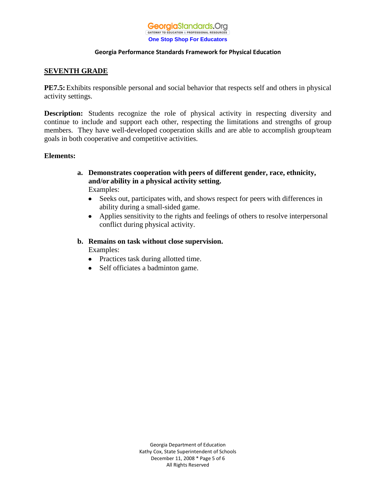

# **SEVENTH GRADE**

**PE7.5:**Exhibits responsible personal and social behavior that respects self and others in physical activity settings.

**Description:** Students recognize the role of physical activity in respecting diversity and continue to include and support each other, respecting the limitations and strengths of group members. They have well-developed cooperation skills and are able to accomplish group/team goals in both cooperative and competitive activities.

## **Elements:**

- **a. Demonstrates cooperation with peers of different gender, race, ethnicity, and/or ability in a physical activity setting.** Examples:
	- $\bullet$ Seeks out, participates with, and shows respect for peers with differences in ability during a small-sided game.
	- Applies sensitivity to the rights and feelings of others to resolve interpersonal conflict during physical activity.
- **b. Remains on task without close supervision.** Examples:
	- Practices task during allotted time.
	- Self officiates a badminton game.